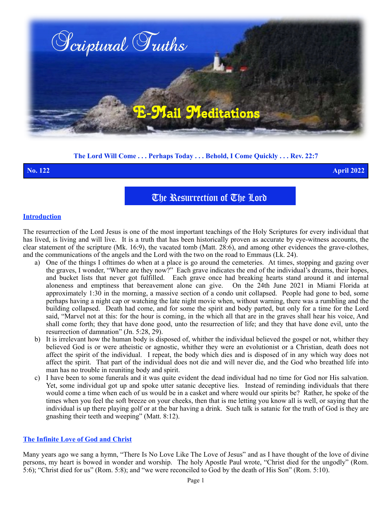

# **The Lord Will Come . . . Perhaps Today . . . Behold, I Come Quickly . . . Rev. 22:7**

**No. 122 April 2022**

# The Resurrection of The Lord

### **Introduction**

The resurrection of the Lord Jesus is one of the most important teachings of the Holy Scriptures for every individual that has lived, is living and will live. It is a truth that has been historically proven as accurate by eye-witness accounts, the clear statement of the scripture (Mk. 16:9), the vacated tomb (Matt. 28:6), and among other evidences the grave-clothes, and the communications of the angels and the Lord with the two on the road to Emmaus (Lk. 24).

- a) One of the things I ofttimes do when at a place is go around the cemeteries. At times, stopping and gazing over the graves, I wonder, "Where are they now?" Each grave indicates the end of the individual's dreams, their hopes, and bucket lists that never got fulfilled. Each grave once had breaking hearts stand around it and internal aloneness and emptiness that bereavement alone can give. On the 24th June 2021 in Miami Florida at approximately 1:30 in the morning, a massive section of a condo unit collapsed. People had gone to bed, some perhaps having a night cap or watching the late night movie when, without warning, there was a rumbling and the building collapsed. Death had come, and for some the spirit and body parted, but only for a time for the Lord said, "Marvel not at this: for the hour is coming, in the which all that are in the graves shall hear his voice, And shall come forth; they that have done good, unto the resurrection of life; and they that have done evil, unto the resurrection of damnation" (Jn. 5:28, 29).
- b) It is irrelevant how the human body is disposed of, whither the individual believed the gospel or not, whither they believed God is or were atheistic or agnostic, whither they were an evolutionist or a Christian, death does not affect the spirit of the individual. I repeat, the body which dies and is disposed of in any which way does not affect the spirit. That part of the individual does not die and will never die, and the God who breathed life into man has no trouble in reuniting body and spirit.
- c) I have been to some funerals and it was quite evident the dead individual had no time for God nor His salvation. Yet, some individual got up and spoke utter satanic deceptive lies. Instead of reminding individuals that there would come a time when each of us would be in a casket and where would our spirits be? Rather, he spoke of the times when you feel the soft breeze on your cheeks, then that is me letting you know all is well, or saying that the individual is up there playing golf or at the bar having a drink. Such talk is satanic for the truth of God is they are gnashing their teeth and weeping" (Matt. 8:12).

#### **The Infinite Love of God and Christ**

Many years ago we sang a hymn, "There Is No Love Like The Love of Jesus" and as I have thought of the love of divine persons, my heart is bowed in wonder and worship. The holy Apostle Paul wrote, "Christ died for the ungodly" (Rom. 5:6); "Christ died for us" (Rom. 5:8); and "we were reconciled to God by the death of His Son" (Rom. 5:10).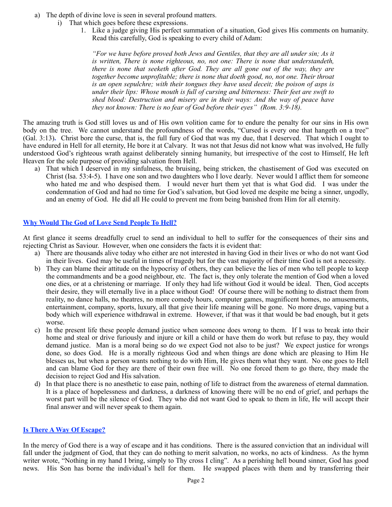- a) The depth of divine love is seen in several profound matters.
	- i) That which goes before these expressions.
		- 1. Like a judge giving His perfect summation of a situation, God gives His comments on humanity. Read this carefully, God is speaking to every child of Adam:

*"For we have before proved both Jews and Gentiles, that they are all under sin; As it is written, There is none righteous, no, not one: There is none that understandeth, there is none that seeketh after God. They are all gone out of the way, they are together become unprofitable; there is none that doeth good, no, not one. Their throat is an open sepulchre; with their tongues they have used deceit; the poison of asps is under their lips: Whose mouth is full of cursing and bitterness: Their feet are swift to shed blood: Destruction and misery are in their ways: And the way of peace have they not known: There is no fear of God before their eyes" (Rom. 3:9-18).*

The amazing truth is God still loves us and of His own volition came for to endure the penalty for our sins in His own body on the tree. We cannot understand the profoundness of the words, "Cursed is every one that hangeth on a tree" (Gal. 3:13)**.** Christ bore the curse, that is, the full fury of God that was my due, that I deserved. That which I ought to have endured in Hell for all eternity, He bore it at Calvary. It was not that Jesus did not know what was involved, He fully understood God's righteous wrath against deliberately sinning humanity, but irrespective of the cost to Himself, He left Heaven for the sole purpose of providing salvation from Hell.

a) That which I deserved in my sinfulness, the bruising, being stricken, the chastisement of God was executed on Christ (Isa. 53:4-5). I have one son and two daughters who I love dearly. Never would I afflict them for someone who hated me and who despised them. I would never hurt them yet that is what God did. I was under the condemnation of God and had no time for God's salvation, but God loved me despite me being a sinner, ungodly, and an enemy of God. He did all He could to prevent me from being banished from Him for all eternity.

# **Why Would The God of Love Send People To Hell?**

At first glance it seems dreadfully cruel to send an individual to hell to suffer for the consequences of their sins and rejecting Christ as Saviour. However, when one considers the facts it is evident that:

- a) There are thousands alive today who either are not interested in having God in their lives or who do not want God in their lives. God may be useful in times of tragedy but for the vast majority of their time God is not a necessity.
- b) They can blame their attitude on the hypocrisy of others, they can believe the lies of men who tell people to keep the commandments and be a good neighbour, etc. The fact is, they only tolerate the mention of God when a loved one dies, or at a christening or marriage. If only they had life without God it would be ideal. Then, God accepts their desire, they will eternally live in a place without God! Of course there will be nothing to distract them from reality, no dance halls, no theatres, no more comedy hours, computer games, magnificent homes, no amusements, entertainment, company, sports, luxury, all that give their life meaning will be gone. No more drugs, vaping but a body which will experience withdrawal in extreme. However, if that was it that would be bad enough, but it gets worse.
- c) In the present life these people demand justice when someone does wrong to them. If I was to break into their home and steal or drive furiously and injure or kill a child or have them do work but refuse to pay, they would demand justice. Man is a moral being so do we expect God not also to be just? We expect justice for wrongs done, so does God. He is a morally righteous God and when things are done which are pleasing to Him He blesses us, but when a person wants nothing to do with Him, He gives them what they want. No one goes to Hell and can blame God for they are there of their own free will. No one forced them to go there, they made the decision to reject God and His salvation.
- d) In that place there is no anesthetic to ease pain, nothing of life to distract from the awareness of eternal damnation. It is a place of hopelessness and darkness, a darkness of knowing there will be no end of grief, and perhaps the worst part will be the silence of God. They who did not want God to speak to them in life, He will accept their final answer and will never speak to them again.

# **Is There A Way Of Escape?**

In the mercy of God there is a way of escape and it has conditions. There is the assured conviction that an individual will fall under the judgment of God, that they can do nothing to merit salvation, no works, no acts of kindness. As the hymn writer wrote, "Nothing in my hand I bring, simply to Thy cross I cling". As a perishing hell bound sinner, God has good news. His Son has borne the individual's hell for them. He swapped places with them and by transferring their